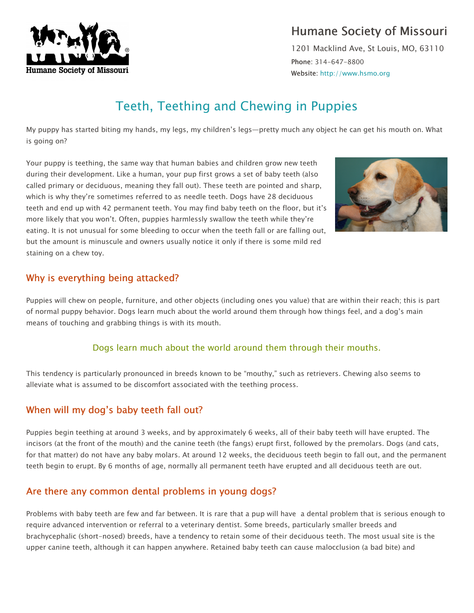

## Humane Society of Missouri

1201 Macklind Ave, St Louis, MO, 63110 Phone: 314-647-8800 Website: http://www.hsmo.org

# Teeth, Teething and Chewing in Puppies

My puppy has started biting my hands, my legs, my children's legs—pretty much any object he can get his mouth on. What is going on?

Your puppy is teething, the same way that human babies and children grow new teeth during their development. Like a human, your pup first grows a set of baby teeth (also called primary or deciduous, meaning they fall out). These teeth are pointed and sharp, which is why they're sometimes referred to as needle teeth. Dogs have 28 deciduous teeth and end up with 42 permanent teeth. You may find baby teeth on the floor, but it's more likely that you won't. Often, puppies harmlessly swallow the teeth while they're eating. It is not unusual for some bleeding to occur when the teeth fall or are falling out, but the amount is minuscule and owners usually notice it only if there is some mild red staining on a chew toy.



## Why is everything being attacked?

Puppies will chew on people, furniture, and other objects (including ones you value) that are within their reach; this is part of normal puppy behavior. Dogs learn much about the world around them through how things feel, and a dog's main means of touching and grabbing things is with its mouth.

#### Dogs learn much about the world around them through their mouths.

This tendency is particularly pronounced in breeds known to be "mouthy," such as retrievers. Chewing also seems to alleviate what is assumed to be discomfort associated with the teething process.

## When will my dog's baby teeth fall out?

Puppies begin teething at around 3 weeks, and by approximately 6 weeks, all of their baby teeth will have erupted. The incisors (at the front of the mouth) and the canine teeth (the fangs) erupt first, followed by the premolars. Dogs (and cats, for that matter) do not have any baby molars. At around 12 weeks, the deciduous teeth begin to fall out, and the permanent teeth begin to erupt. By 6 months of age, normally all permanent teeth have erupted and all deciduous teeth are out.

## Are there any common dental problems in young dogs?

Problems with baby teeth are few and far between. It is rare that a pup will have a dental problem that is serious enough to require advanced intervention or referral to a veterinary dentist. Some breeds, particularly smaller breeds and brachycephalic (short-nosed) breeds, have a tendency to retain some of their deciduous teeth. The most usual site is the upper canine teeth, although it can happen anywhere. Retained baby teeth can cause malocclusion (a bad bite) and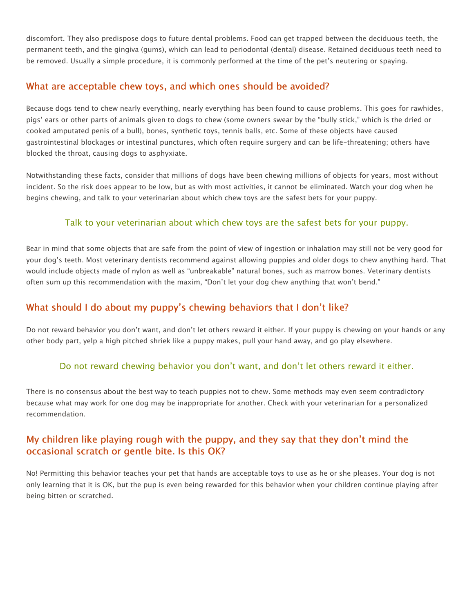discomfort. They also predispose dogs to future dental problems. Food can get trapped between the deciduous teeth, the permanent teeth, and the gingiva (gums), which can lead to periodontal (dental) disease. Retained deciduous teeth need to be removed. Usually a simple procedure, it is commonly performed at the time of the pet's neutering or spaying.

#### What are acceptable chew toys, and which ones should be avoided?

Because dogs tend to chew nearly everything, nearly everything has been found to cause problems. This goes for rawhides, pigs' ears or other parts of animals given to dogs to chew (some owners swear by the "bully stick," which is the dried or cooked amputated penis of a bull), bones, synthetic toys, tennis balls, etc. Some of these objects have caused gastrointestinal blockages or intestinal punctures, which often require surgery and can be life-threatening; others have blocked the throat, causing dogs to asphyxiate.

Notwithstanding these facts, consider that millions of dogs have been chewing millions of objects for years, most without incident. So the risk does appear to be low, but as with most activities, it cannot be eliminated. Watch your dog when he begins chewing, and talk to your veterinarian about which chew toys are the safest bets for your puppy.

#### Talk to your veterinarian about which chew toys are the safest bets for your puppy.

Bear in mind that some objects that are safe from the point of view of ingestion or inhalation may still not be very good for your dog's teeth. Most veterinary dentists recommend against allowing puppies and older dogs to chew anything hard. That would include objects made of nylon as well as "unbreakable" natural bones, such as marrow bones. Veterinary dentists often sum up this recommendation with the maxim, "Don't let your dog chew anything that won't bend."

### What should I do about my puppy's chewing behaviors that I don't like?

Do not reward behavior you don't want, and don't let others reward it either. If your puppy is chewing on your hands or any other body part, yelp a high pitched shriek like a puppy makes, pull your hand away, and go play elsewhere.

#### Do not reward chewing behavior you don't want, and don't let others reward it either.

There is no consensus about the best way to teach puppies not to chew. Some methods may even seem contradictory because what may work for one dog may be inappropriate for another. Check with your veterinarian for a personalized recommendation.

## My children like playing rough with the puppy, and they say that they don't mind the occasional scratch or gentle bite. Is this OK?

No! Permitting this behavior teaches your pet that hands are acceptable toys to use as he or she pleases. Your dog is not only learning that it is OK, but the pup is even being rewarded for this behavior when your children continue playing after being bitten or scratched.